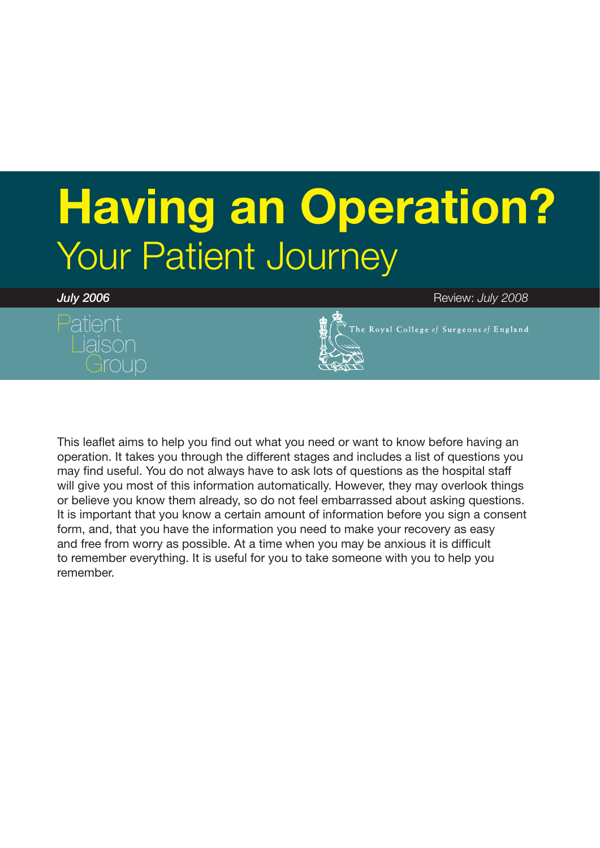# **Having an Operation?** Your Patient Journey





*July 2006* Review: *July 2008*

This leaflet aims to help you find out what you need or want to know before having an operation. It takes you through the different stages and includes a list of questions you may find useful. You do not always have to ask lots of questions as the hospital staff will give you most of this information automatically. However, they may overlook things or believe you know them already, so do not feel embarrassed about asking questions. It is important that you know a certain amount of information before you sign a consent form, and, that you have the information you need to make your recovery as easy and free from worry as possible. At a time when you may be anxious it is difficult to remember everything. It is useful for you to take someone with you to help you remember.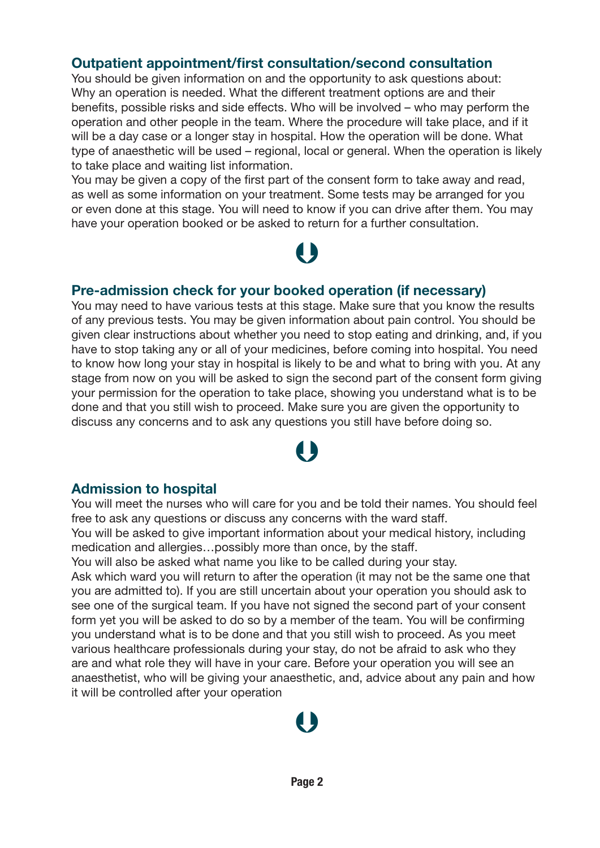### **Outpatient appointment/first consultation/second consultation**

You should be given information on and the opportunity to ask questions about: Why an operation is needed. What the different treatment options are and their benefits, possible risks and side effects. Who will be involved – who may perform the operation and other people in the team. Where the procedure will take place, and if it will be a day case or a longer stay in hospital. How the operation will be done. What type of anaesthetic will be used – regional, local or general. When the operation is likely to take place and waiting list information.

You may be given a copy of the first part of the consent form to take away and read, as well as some information on your treatment. Some tests may be arranged for you or even done at this stage. You will need to know if you can drive after them. You may have your operation booked or be asked to return for a further consultation.

# 1 N

### **Pre-admission check for your booked operation (if necessary)**

You may need to have various tests at this stage. Make sure that you know the results of any previous tests. You may be given information about pain control. You should be given clear instructions about whether you need to stop eating and drinking, and, if you have to stop taking any or all of your medicines, before coming into hospital. You need to know how long your stay in hospital is likely to be and what to bring with you. At any stage from now on you will be asked to sign the second part of the consent form giving your permission for the operation to take place, showing you understand what is to be done and that you still wish to proceed. Make sure you are given the opportunity to discuss any concerns and to ask any questions you still have before doing so.

# $\bigcup$

### **Admission to hospital**

You will meet the nurses who will care for you and be told their names. You should feel free to ask any questions or discuss any concerns with the ward staff.

You will be asked to give important information about your medical history, including medication and allergies…possibly more than once, by the staff.

You will also be asked what name you like to be called during your stay.

Ask which ward you will return to after the operation (it may not be the same one that you are admitted to). If you are still uncertain about your operation you should ask to see one of the surgical team. If you have not signed the second part of your consent form yet you will be asked to do so by a member of the team. You will be confirming you understand what is to be done and that you still wish to proceed. As you meet various healthcare professionals during your stay, do not be afraid to ask who they are and what role they will have in your care. Before your operation you will see an anaesthetist, who will be giving your anaesthetic, and, advice about any pain and how it will be controlled after your operation

# $\begin{array}{c} \bullet \\ \bullet \end{array}$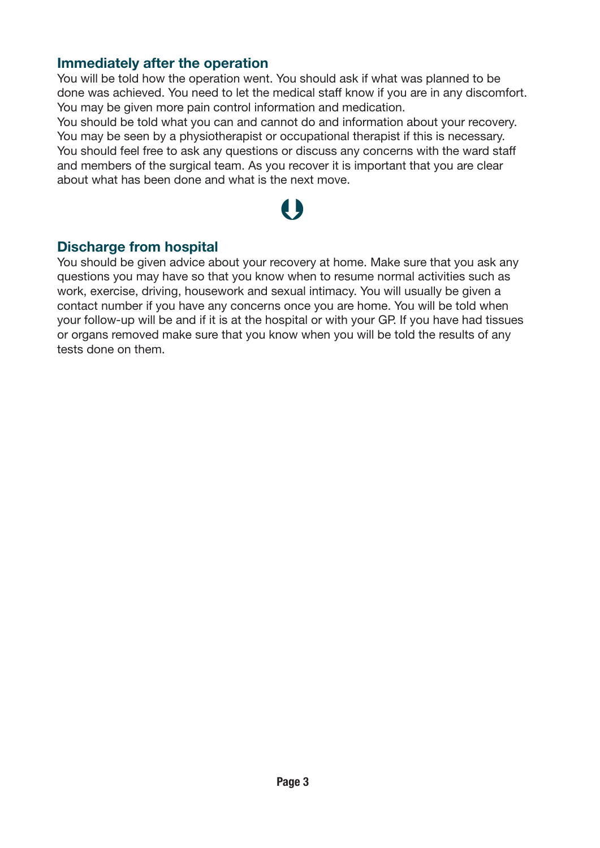#### **Immediately after the operation**

You will be told how the operation went. You should ask if what was planned to be done was achieved. You need to let the medical staff know if you are in any discomfort. You may be given more pain control information and medication.

You should be told what you can and cannot do and information about your recovery. You may be seen by a physiotherapist or occupational therapist if this is necessary. You should feel free to ask any questions or discuss any concerns with the ward staff and members of the surgical team. As you recover it is important that you are clear about what has been done and what is the next move.

# $\bigcup$

### **Discharge from hospital**

You should be given advice about your recovery at home. Make sure that you ask any questions you may have so that you know when to resume normal activities such as work, exercise, driving, housework and sexual intimacy. You will usually be given a contact number if you have any concerns once you are home. You will be told when your follow-up will be and if it is at the hospital or with your GP. If you have had tissues or organs removed make sure that you know when you will be told the results of any tests done on them.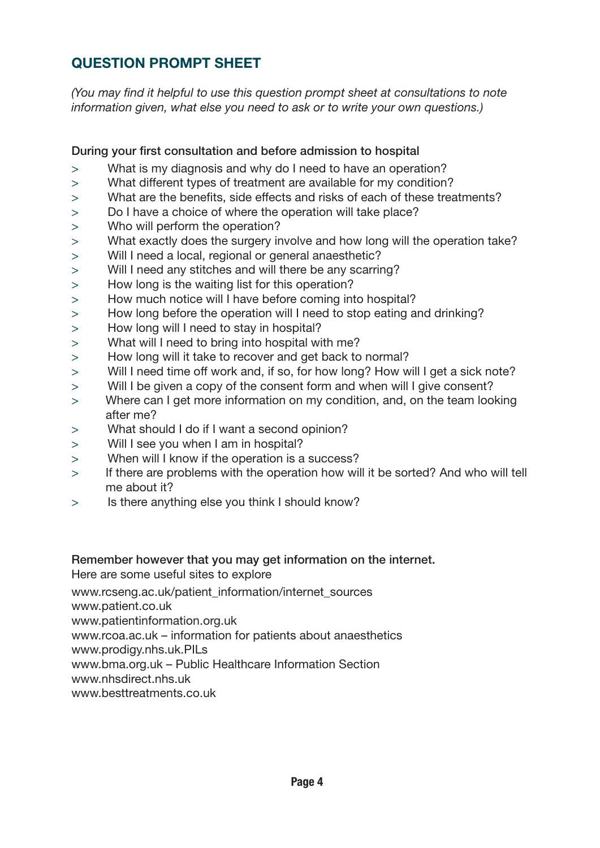### **QUESTION PROMPT SHEET**

*(You may find it helpful to use this question prompt sheet at consultations to note information given, what else you need to ask or to write your own questions.)*

#### During your first consultation and before admission to hospital

- > What is my diagnosis and why do I need to have an operation?
- > What different types of treatment are available for my condition?
- > What are the benefits, side effects and risks of each of these treatments?
- > Do I have a choice of where the operation will take place?
- > Who will perform the operation?
- > What exactly does the surgery involve and how long will the operation take?
- > Will I need a local, regional or general anaesthetic?
- > Will I need any stitches and will there be any scarring?
- > How long is the waiting list for this operation?
- > How much notice will I have before coming into hospital?
- > How long before the operation will I need to stop eating and drinking?
- > How long will I need to stay in hospital?
- > What will I need to bring into hospital with me?
- > How long will it take to recover and get back to normal?
- > Will I need time off work and, if so, for how long? How will I get a sick note?
- > Will I be given a copy of the consent form and when will I give consent?
- > Where can I get more information on my condition, and, on the team looking after me?
- > What should I do if I want a second opinion?
- > Will I see you when I am in hospital?
- > When will I know if the operation is a success?
- > If there are problems with the operation how will it be sorted? And who will tell me about it?
- > Is there anything else you think I should know?

### Remember however that you may get information on the internet.

Here are some useful sites to explore

www.rcseng.ac.uk/patient\_information/internet\_sources

www.patient.co.uk

www.patientinformation.org.uk

www.rcoa.ac.uk – information for patients about anaesthetics

www.prodigy.nhs.uk.PILs

www.bma.org.uk – Public Healthcare Information Section

www.nhsdirect.nhs.uk

www.besttreatments.co.uk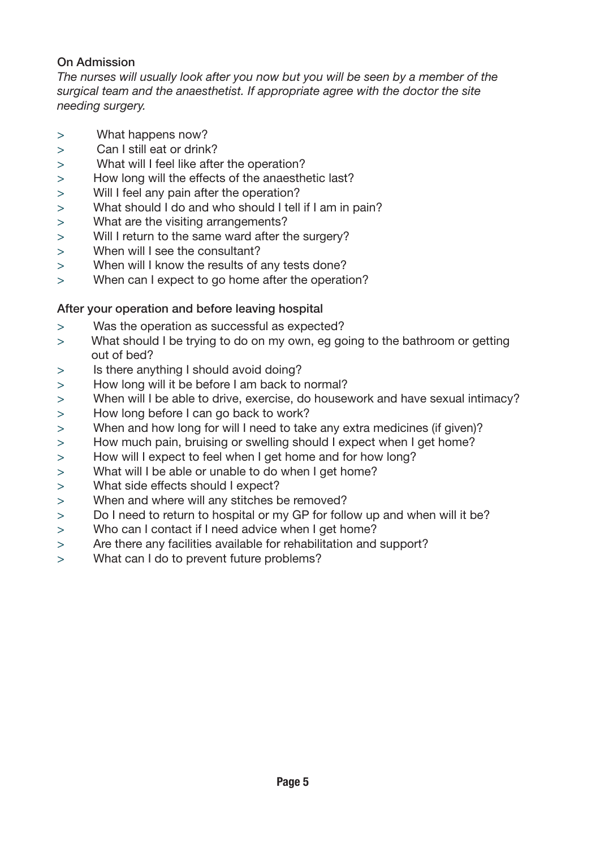#### On Admission

*The nurses will usually look after you now but you will be seen by a member of the surgical team and the anaesthetist. If appropriate agree with the doctor the site needing surgery.*

- > What happens now?
- > Can I still eat or drink?
- > What will I feel like after the operation?
- > How long will the effects of the anaesthetic last?
- > Will I feel any pain after the operation?
- > What should I do and who should I tell if I am in pain?
- > What are the visiting arrangements?
- > Will I return to the same ward after the surgery?
- > When will I see the consultant?
- > When will I know the results of any tests done?
- > When can I expect to go home after the operation?

#### After your operation and before leaving hospital

- > Was the operation as successful as expected?
- > What should I be trying to do on my own, eg going to the bathroom or getting out of bed?
- > Is there anything I should avoid doing?
- > How long will it be before I am back to normal?
- > When will I be able to drive, exercise, do housework and have sexual intimacy?
- > How long before I can go back to work?
- > When and how long for will I need to take any extra medicines (if given)?
- > How much pain, bruising or swelling should I expect when I get home?
- > How will I expect to feel when I get home and for how long?
- > What will I be able or unable to do when I get home?
- > What side effects should I expect?
- > When and where will any stitches be removed?
- > Do I need to return to hospital or my GP for follow up and when will it be?
- > Who can I contact if I need advice when I get home?
- > Are there any facilities available for rehabilitation and support?
- > What can I do to prevent future problems?